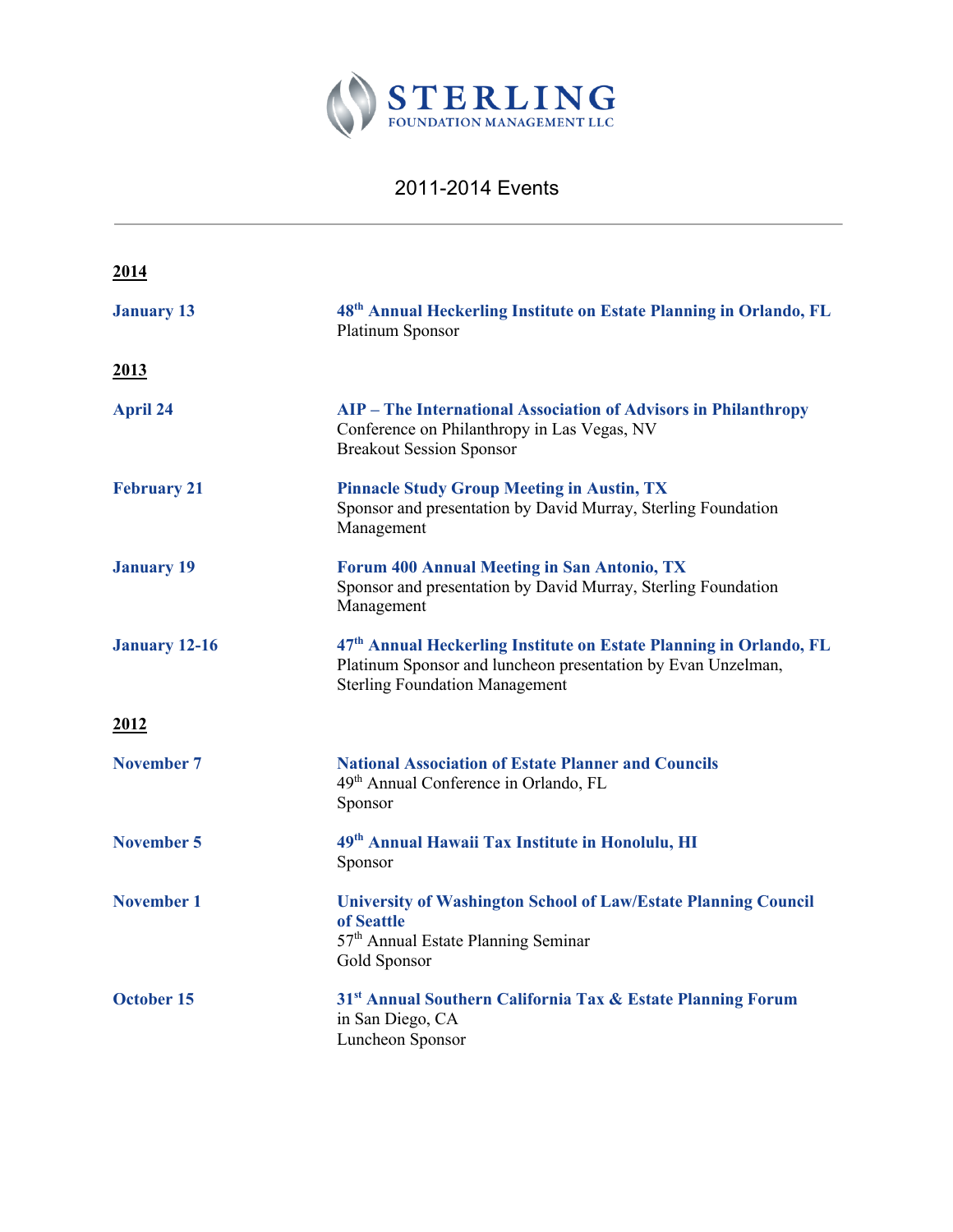

## 2011-2014 Events

| 2014                 |                                                                                                                                                                                         |
|----------------------|-----------------------------------------------------------------------------------------------------------------------------------------------------------------------------------------|
| <b>January 13</b>    | 48 <sup>th</sup> Annual Heckerling Institute on Estate Planning in Orlando, FL<br>Platinum Sponsor                                                                                      |
| 2013                 |                                                                                                                                                                                         |
| <b>April 24</b>      | <b>AIP</b> - The International Association of Advisors in Philanthropy<br>Conference on Philanthropy in Las Vegas, NV<br><b>Breakout Session Sponsor</b>                                |
| <b>February 21</b>   | <b>Pinnacle Study Group Meeting in Austin, TX</b><br>Sponsor and presentation by David Murray, Sterling Foundation<br>Management                                                        |
| <b>January 19</b>    | Forum 400 Annual Meeting in San Antonio, TX<br>Sponsor and presentation by David Murray, Sterling Foundation<br>Management                                                              |
| <b>January 12-16</b> | 47 <sup>th</sup> Annual Heckerling Institute on Estate Planning in Orlando, FL<br>Platinum Sponsor and luncheon presentation by Evan Unzelman,<br><b>Sterling Foundation Management</b> |
| 2012                 |                                                                                                                                                                                         |
| November 7           | <b>National Association of Estate Planner and Councils</b><br>49 <sup>th</sup> Annual Conference in Orlando, FL<br>Sponsor                                                              |
| <b>November 5</b>    | 49 <sup>th</sup> Annual Hawaii Tax Institute in Honolulu, HI<br>Sponsor                                                                                                                 |
| <b>November 1</b>    | <b>University of Washington School of Law/Estate Planning Council</b><br>of Seattle<br>57 <sup>th</sup> Annual Estate Planning Seminar<br>Gold Sponsor                                  |
| October 15           | 31 <sup>st</sup> Annual Southern California Tax & Estate Planning Forum<br>in San Diego, CA<br>Luncheon Sponsor                                                                         |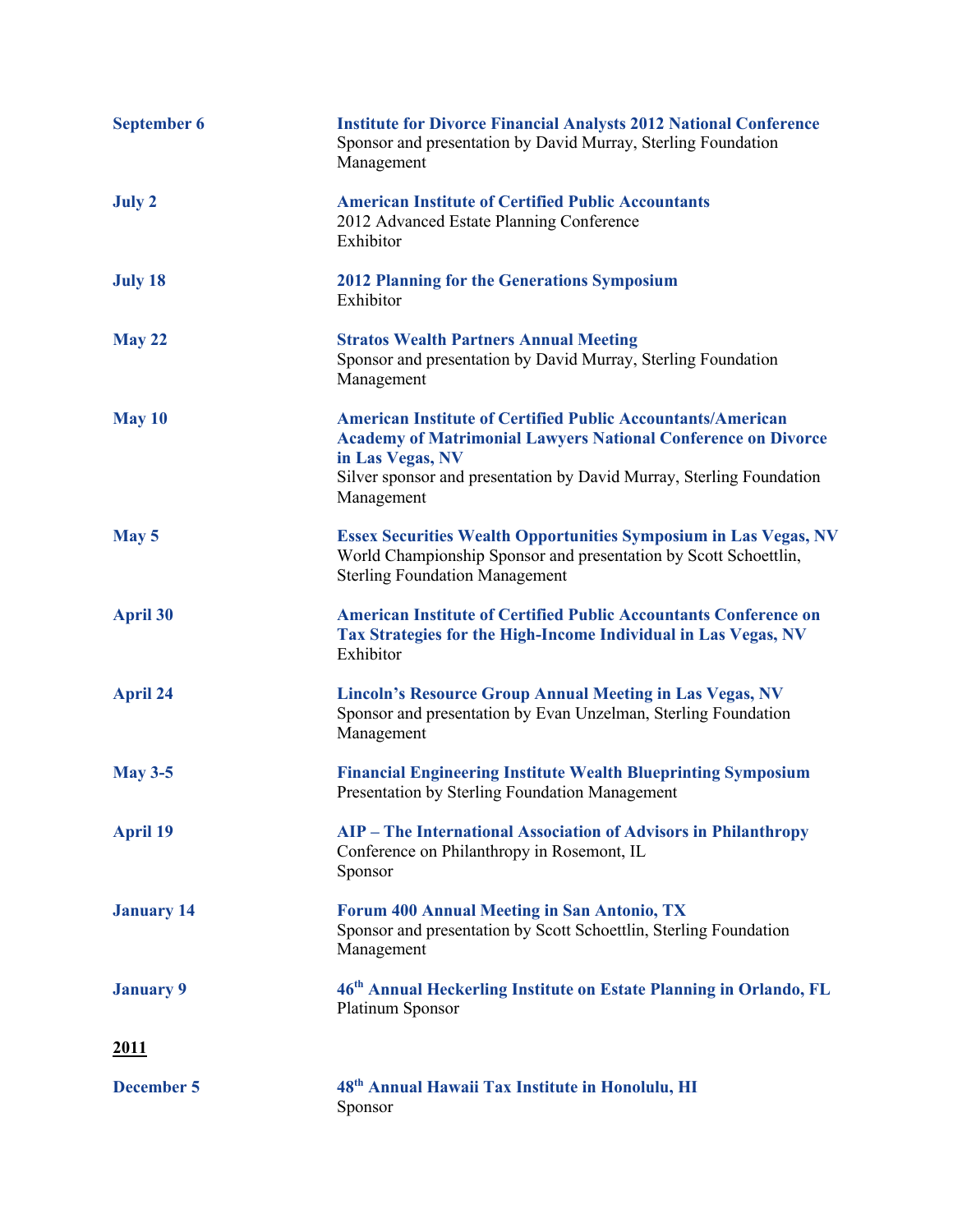| <b>September 6</b> | <b>Institute for Divorce Financial Analysts 2012 National Conference</b><br>Sponsor and presentation by David Murray, Sterling Foundation<br>Management                                                                                              |
|--------------------|------------------------------------------------------------------------------------------------------------------------------------------------------------------------------------------------------------------------------------------------------|
| <b>July 2</b>      | <b>American Institute of Certified Public Accountants</b><br>2012 Advanced Estate Planning Conference<br>Exhibitor                                                                                                                                   |
| <b>July 18</b>     | <b>2012 Planning for the Generations Symposium</b><br>Exhibitor                                                                                                                                                                                      |
| <b>May 22</b>      | <b>Stratos Wealth Partners Annual Meeting</b><br>Sponsor and presentation by David Murray, Sterling Foundation<br>Management                                                                                                                         |
| May 10             | <b>American Institute of Certified Public Accountants/American</b><br><b>Academy of Matrimonial Lawyers National Conference on Divorce</b><br>in Las Vegas, NV<br>Silver sponsor and presentation by David Murray, Sterling Foundation<br>Management |
| May 5              | <b>Essex Securities Wealth Opportunities Symposium in Las Vegas, NV</b><br>World Championship Sponsor and presentation by Scott Schoettlin,<br><b>Sterling Foundation Management</b>                                                                 |
| <b>April 30</b>    | <b>American Institute of Certified Public Accountants Conference on</b><br>Tax Strategies for the High-Income Individual in Las Vegas, NV<br>Exhibitor                                                                                               |
| <b>April 24</b>    | <b>Lincoln's Resource Group Annual Meeting in Las Vegas, NV</b><br>Sponsor and presentation by Evan Unzelman, Sterling Foundation<br>Management                                                                                                      |
| <b>May 3-5</b>     | <b>Financial Engineering Institute Wealth Blueprinting Symposium</b><br>Presentation by Sterling Foundation Management                                                                                                                               |
| <b>April 19</b>    | <b>AIP</b> - The International Association of Advisors in Philanthropy<br>Conference on Philanthropy in Rosemont, IL<br>Sponsor                                                                                                                      |
| <b>January 14</b>  | <b>Forum 400 Annual Meeting in San Antonio, TX</b><br>Sponsor and presentation by Scott Schoettlin, Sterling Foundation<br>Management                                                                                                                |
| <b>January 9</b>   | 46th Annual Heckerling Institute on Estate Planning in Orlando, FL<br>Platinum Sponsor                                                                                                                                                               |
| <u>2011</u>        |                                                                                                                                                                                                                                                      |
| <b>December 5</b>  | 48 <sup>th</sup> Annual Hawaii Tax Institute in Honolulu, HI<br>Sponsor                                                                                                                                                                              |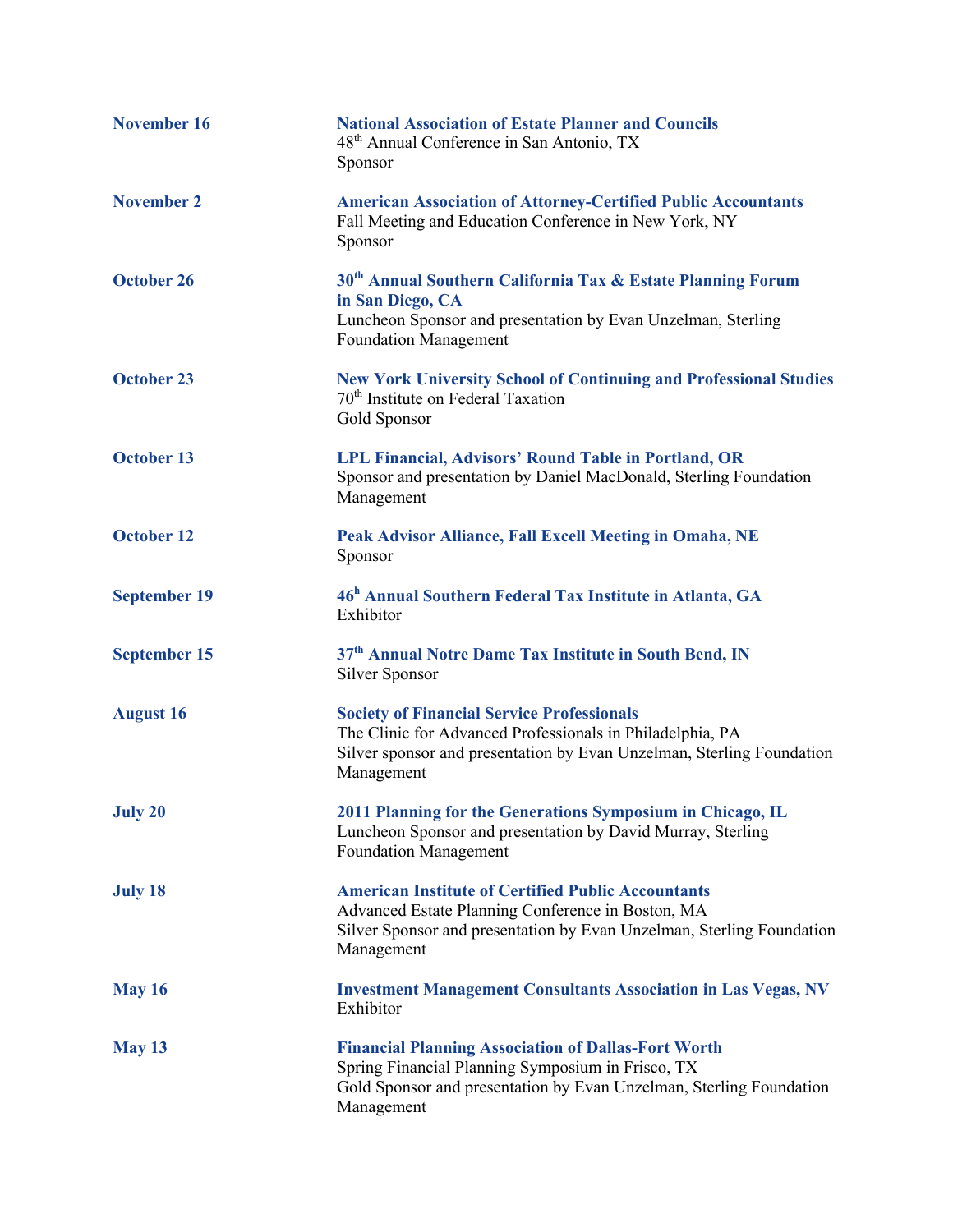| <b>November 16</b>  | <b>National Association of Estate Planner and Councils</b><br>48 <sup>th</sup> Annual Conference in San Antonio, TX<br>Sponsor                                                                        |
|---------------------|-------------------------------------------------------------------------------------------------------------------------------------------------------------------------------------------------------|
| <b>November 2</b>   | <b>American Association of Attorney-Certified Public Accountants</b><br>Fall Meeting and Education Conference in New York, NY<br>Sponsor                                                              |
| <b>October 26</b>   | 30 <sup>th</sup> Annual Southern California Tax & Estate Planning Forum<br>in San Diego, CA<br>Luncheon Sponsor and presentation by Evan Unzelman, Sterling<br><b>Foundation Management</b>           |
| <b>October 23</b>   | <b>New York University School of Continuing and Professional Studies</b><br>70 <sup>th</sup> Institute on Federal Taxation<br>Gold Sponsor                                                            |
| <b>October 13</b>   | <b>LPL Financial, Advisors' Round Table in Portland, OR</b><br>Sponsor and presentation by Daniel MacDonald, Sterling Foundation<br>Management                                                        |
| <b>October 12</b>   | Peak Advisor Alliance, Fall Excell Meeting in Omaha, NE<br>Sponsor                                                                                                                                    |
| <b>September 19</b> | 46 <sup>h</sup> Annual Southern Federal Tax Institute in Atlanta, GA<br>Exhibitor                                                                                                                     |
| <b>September 15</b> | 37th Annual Notre Dame Tax Institute in South Bend, IN<br>Silver Sponsor                                                                                                                              |
| <b>August 16</b>    | <b>Society of Financial Service Professionals</b><br>The Clinic for Advanced Professionals in Philadelphia, PA<br>Silver sponsor and presentation by Evan Unzelman, Sterling Foundation<br>Management |
| <b>July 20</b>      | 2011 Planning for the Generations Symposium in Chicago, IL<br>Luncheon Sponsor and presentation by David Murray, Sterling<br><b>Foundation Management</b>                                             |
| <b>July 18</b>      | <b>American Institute of Certified Public Accountants</b><br>Advanced Estate Planning Conference in Boston, MA<br>Silver Sponsor and presentation by Evan Unzelman, Sterling Foundation<br>Management |
| <b>May 16</b>       | <b>Investment Management Consultants Association in Las Vegas, NV</b><br>Exhibitor                                                                                                                    |
| <b>May 13</b>       | <b>Financial Planning Association of Dallas-Fort Worth</b><br>Spring Financial Planning Symposium in Frisco, TX<br>Gold Sponsor and presentation by Evan Unzelman, Sterling Foundation<br>Management  |